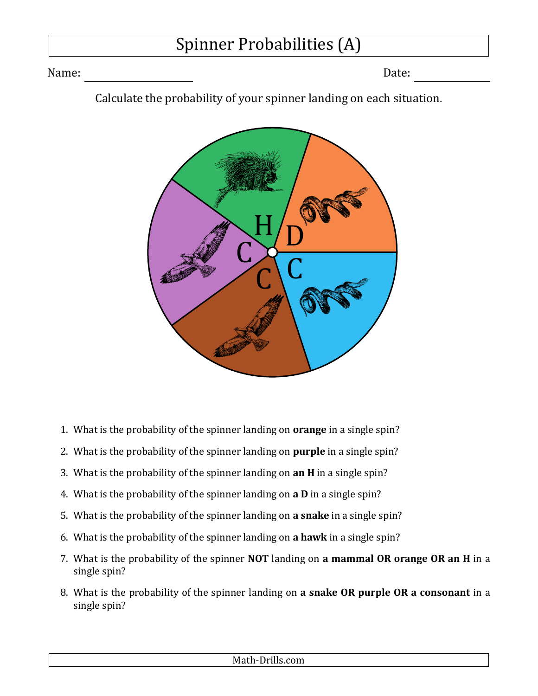## Spinner Probabilities (A)

Name: Date:

Calculate the probability of your spinner landing on each situation.



- 1. What is the probability of the spinner landing on **orange** in a single spin?
- 2. What is the probability of the spinner landing on **purple** in a single spin?
- 3. What is the probability of the spinner landing on **an H** in a single spin?
- 4. What is the probability of the spinner landing on **a D** in a single spin?
- 5. What is the probability of the spinner landing on **a snake** in a single spin?
- 6. What is the probability of the spinner landing on **a hawk** in a single spin?
- 7. What is the probability of the spinner **NOT** landing on **a mammal OR orange OR an H** in a single spin?
- 8. What is the probability of the spinner landing on **a snake OR purple OR a consonant** in a single spin?